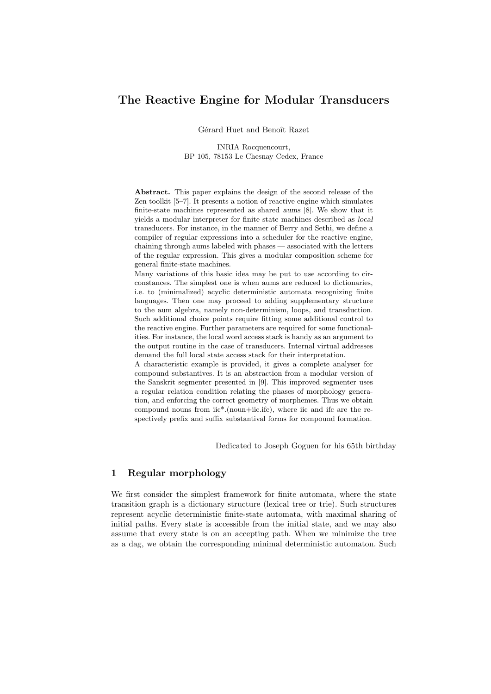# The Reactive Engine for Modular Transducers

Gérard Huet and Benoît Razet

INRIA Rocquencourt, BP 105, 78153 Le Chesnay Cedex, France

Abstract. This paper explains the design of the second release of the Zen toolkit [5–7]. It presents a notion of reactive engine which simulates finite-state machines represented as shared aums [8]. We show that it yields a modular interpreter for finite state machines described as local transducers. For instance, in the manner of Berry and Sethi, we define a compiler of regular expressions into a scheduler for the reactive engine, chaining through aums labeled with phases — associated with the letters of the regular expression. This gives a modular composition scheme for general finite-state machines.

Many variations of this basic idea may be put to use according to circonstances. The simplest one is when aums are reduced to dictionaries, i.e. to (minimalized) acyclic deterministic automata recognizing finite languages. Then one may proceed to adding supplementary structure to the aum algebra, namely non-determinism, loops, and transduction. Such additional choice points require fitting some additional control to the reactive engine. Further parameters are required for some functionalities. For instance, the local word access stack is handy as an argument to the output routine in the case of transducers. Internal virtual addresses demand the full local state access stack for their interpretation.

A characteristic example is provided, it gives a complete analyser for compound substantives. It is an abstraction from a modular version of the Sanskrit segmenter presented in [9]. This improved segmenter uses a regular relation condition relating the phases of morphology generation, and enforcing the correct geometry of morphemes. Thus we obtain compound nouns from iic\*.(noun+iic.ifc), where iic and ifc are the respectively prefix and suffix substantival forms for compound formation.

Dedicated to Joseph Goguen for his 65th birthday

## 1 Regular morphology

We first consider the simplest framework for finite automata, where the state transition graph is a dictionary structure (lexical tree or trie). Such structures represent acyclic deterministic finite-state automata, with maximal sharing of initial paths. Every state is accessible from the initial state, and we may also assume that every state is on an accepting path. When we minimize the tree as a dag, we obtain the corresponding minimal deterministic automaton. Such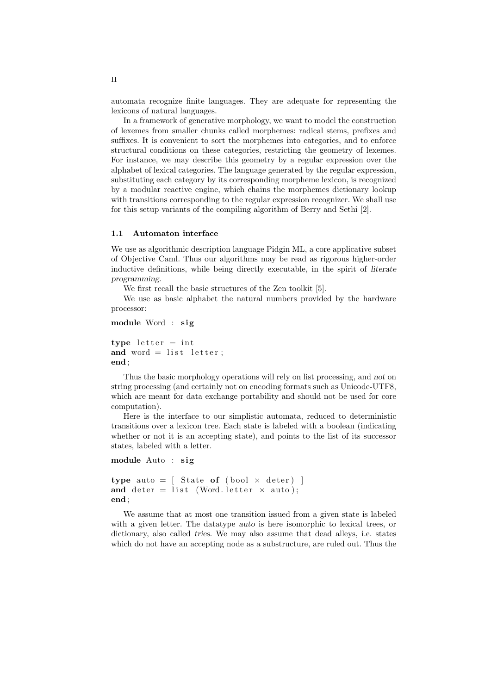automata recognize finite languages. They are adequate for representing the lexicons of natural languages.

In a framework of generative morphology, we want to model the construction of lexemes from smaller chunks called morphemes: radical stems, prefixes and suffixes. It is convenient to sort the morphemes into categories, and to enforce structural conditions on these categories, restricting the geometry of lexemes. For instance, we may describe this geometry by a regular expression over the alphabet of lexical categories. The language generated by the regular expression, substituting each category by its corresponding morpheme lexicon, is recognized by a modular reactive engine, which chains the morphemes dictionary lookup with transitions corresponding to the regular expression recognizer. We shall use for this setup variants of the compiling algorithm of Berry and Sethi [2].

#### 1.1 Automaton interface

We use as algorithmic description language Pidgin ML, a core applicative subset of Objective Caml. Thus our algorithms may be read as rigorous higher-order inductive definitions, while being directly executable, in the spirit of literate programming.

We first recall the basic structures of the Zen toolkit [5].

We use as basic alphabet the natural numbers provided by the hardware processor:

```
module Word : sig
type letter = intand word = list letter;
end;
```
Thus the basic morphology operations will rely on list processing, and not on string processing (and certainly not on encoding formats such as Unicode-UTF8, which are meant for data exchange portability and should not be used for core computation).

Here is the interface to our simplistic automata, reduced to deterministic transitions over a lexicon tree. Each state is labeled with a boolean (indicating whether or not it is an accepting state), and points to the list of its successor states, labeled with a letter.

```
module Auto : sig
type auto = [ State of (bool \times deter) ]
and deter = list (Word letter \times auto);
end;
```
We assume that at most one transition issued from a given state is labeled with a given letter. The datatype auto is here isomorphic to lexical trees, or dictionary, also called tries. We may also assume that dead alleys, i.e. states which do not have an accepting node as a substructure, are ruled out. Thus the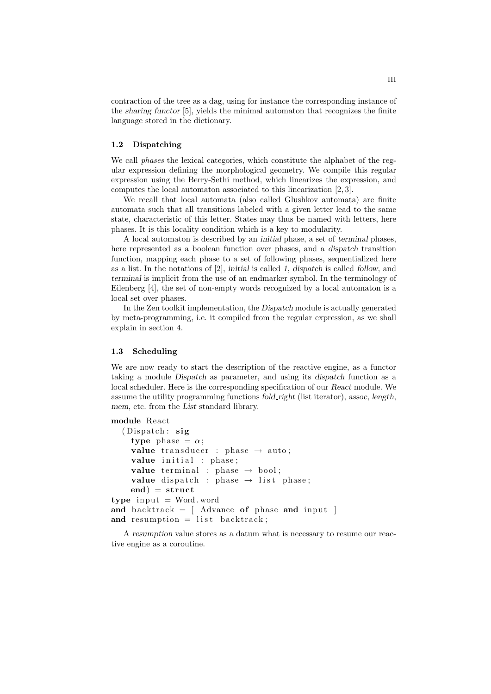contraction of the tree as a dag, using for instance the corresponding instance of the sharing functor [5], yields the minimal automaton that recognizes the finite language stored in the dictionary.

## 1.2 Dispatching

We call phases the lexical categories, which constitute the alphabet of the regular expression defining the morphological geometry. We compile this regular expression using the Berry-Sethi method, which linearizes the expression, and computes the local automaton associated to this linearization [2, 3].

We recall that local automata (also called Glushkov automata) are finite automata such that all transitions labeled with a given letter lead to the same state, characteristic of this letter. States may thus be named with letters, here phases. It is this locality condition which is a key to modularity.

A local automaton is described by an initial phase, a set of terminal phases, here represented as a boolean function over phases, and a dispatch transition function, mapping each phase to a set of following phases, sequentialized here as a list. In the notations of [2], initial is called 1, dispatch is called follow, and terminal is implicit from the use of an endmarker symbol. In the terminology of Eilenberg [4], the set of non-empty words recognized by a local automaton is a local set over phases.

In the Zen toolkit implementation, the Dispatch module is actually generated by meta-programming, i.e. it compiled from the regular expression, as we shall explain in section 4.

#### 1.3 Scheduling

We are now ready to start the description of the reactive engine, as a functor taking a module Dispatch as parameter, and using its dispatch function as a local scheduler. Here is the corresponding specification of our React module. We assume the utility programming functions fold right (list iterator), assoc, length, mem, etc. from the List standard library.

```
module React
  (Dispatch: sig
    type phase = \alpha;
    value transducer : phase \rightarrow auto;
    value initial : phase:
    value terminal : phase \rightarrow bool;
    value dispatch : phase \rightarrow list phase;
    end) = struct
type input = Word word
and backtrack = [ Advance of phase and input ]
and resumption = list backtrack;
```
A resumption value stores as a datum what is necessary to resume our reactive engine as a coroutine.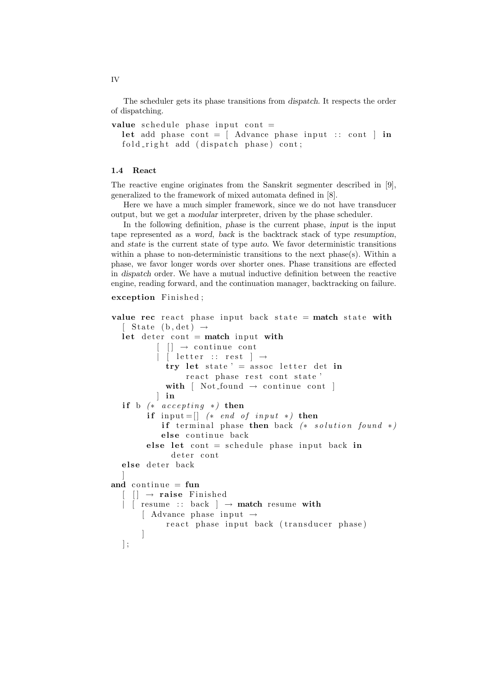The scheduler gets its phase transitions from dispatch. It respects the order of dispatching.

```
value schedule phase input cont =let add phase cont = [ Advance phase input :: cont ] in
  fold_right add (dispatch phase) cont;
```
### 1.4 React

The reactive engine originates from the Sanskrit segmenter described in [9], generalized to the framework of mixed automata defined in [8].

Here we have a much simpler framework, since we do not have transducer output, but we get a modular interpreter, driven by the phase scheduler.

In the following definition, phase is the current phase, input is the input tape represented as a word, back is the backtrack stack of type resumption, and state is the current state of type auto. We favor deterministic transitions within a phase to non-deterministic transitions to the next phase(s). Within a phase, we favor longer words over shorter ones. Phase transitions are effected in dispatch order. We have a mutual inductive definition between the reactive engine, reading forward, and the continuation manager, backtracking on failure.

```
exception Finished;
```

```
value rec react phase input back state = match state with
  \left[ State (b, det) \rightarrowlet deter cont = match input with
           \begin{bmatrix} \end{bmatrix} \rightarrow continue cont
           \begin{bmatrix} \end{bmatrix} letter :: rest \end{bmatrix} \rightarrowtry let state ' = assoc letter det in
                   react phase rest cont state'
              with \lceil Not found \rightarrow continue cont \lceil] in
  if b (* \text{accepting } *) then
         if input =[] (* end of input *) then
             if terminal phase then back (* solution found *)else continue back
         else let cont = schedule phase input back in
               deter cont
  else deter back
   ]
and continue = fun
     [ ] \rightarrow raise Finished
     [ resume :: back ] \rightarrow match resume with
        [ Advance phase input \rightarrowreact phase input back (transducer phase)
        ]
  ] ;
```
IV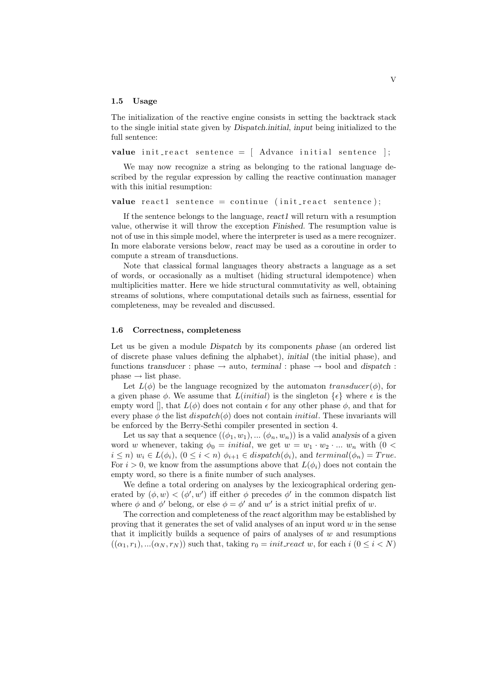#### 1.5 Usage

The initialization of the reactive engine consists in setting the backtrack stack to the single initial state given by Dispatch.initial, input being initialized to the full sentence:

value init\_react sentence =  $\left[$  Advance initial sentence  $\right]$ ;

We may now recognize a string as belonging to the rational language described by the regular expression by calling the reactive continuation manager with this initial resumption:

```
value react1 sentence = continue (init_react sentence);
```
If the sentence belongs to the language, react1 will return with a resumption value, otherwise it will throw the exception Finished. The resumption value is not of use in this simple model, where the interpreter is used as a mere recognizer. In more elaborate versions below, react may be used as a coroutine in order to compute a stream of transductions.

Note that classical formal languages theory abstracts a language as a set of words, or occasionally as a multiset (hiding structural idempotence) when multiplicities matter. Here we hide structural commutativity as well, obtaining streams of solutions, where computational details such as fairness, essential for completeness, may be revealed and discussed.

#### 1.6 Correctness, completeness

Let us be given a module Dispatch by its components phase (an ordered list of discrete phase values defining the alphabet), initial (the initial phase), and functions transducer : phase  $\rightarrow$  auto, terminal : phase  $\rightarrow$  bool and dispatch :  $phase \rightarrow list phase.$ 

Let  $L(\phi)$  be the language recognized by the automaton transducer( $\phi$ ), for a given phase  $\phi$ . We assume that  $L (initial)$  is the singleton  $\{\epsilon\}$  where  $\epsilon$  is the empty word  $\parallel$ , that  $L(\phi)$  does not contain  $\epsilon$  for any other phase  $\phi$ , and that for every phase  $\phi$  the list  $dispatch(\phi)$  does not contain *initial*. These invariants will be enforced by the Berry-Sethi compiler presented in section 4.

Let us say that a sequence  $((\phi_1, w_1), \dots, (\phi_n, w_n))$  is a valid analysis of a given word w whenever, taking  $\phi_0 = initial$ , we get  $w = w_1 \cdot w_2 \cdot ... w_n$  with  $(0 \leq$  $i \leq n$ )  $w_i \in L(\phi_i)$ ,  $(0 \leq i < n)$   $\phi_{i+1} \in displacement(\phi_i)$ , and  $terminal(\phi_n) = True$ . For  $i > 0$ , we know from the assumptions above that  $L(\phi_i)$  does not contain the empty word, so there is a finite number of such analyses.

We define a total ordering on analyses by the lexicographical ordering generated by  $(\phi, w) < (\phi', w')$  iff either  $\phi$  precedes  $\phi'$  in the common dispatch list where  $\phi$  and  $\phi'$  belong, or else  $\phi = \phi'$  and w' is a strict initial prefix of w.

The correction and completeness of the react algorithm may be established by proving that it generates the set of valid analyses of an input word w in the sense that it implicitly builds a sequence of pairs of analyses of  $w$  and resumptions  $((\alpha_1, r_1), ... (\alpha_N, r_N))$  such that, taking  $r_0 = init\_react$  w, for each  $i$   $(0 \le i \le N)$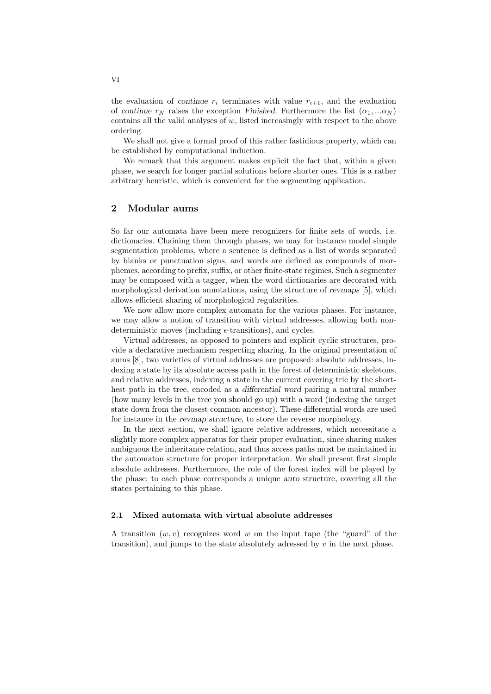the evaluation of continue  $r_i$  terminates with value  $r_{i+1}$ , and the evaluation of continue  $r_N$  raises the exception Finished. Furthermore the list  $(\alpha_1, \dots \alpha_N)$ contains all the valid analyses of  $w$ , listed increasingly with respect to the above ordering.

We shall not give a formal proof of this rather fastidious property, which can be established by computational induction.

We remark that this argument makes explicit the fact that, within a given phase, we search for longer partial solutions before shorter ones. This is a rather arbitrary heuristic, which is convenient for the segmenting application.

## 2 Modular aums

So far our automata have been mere recognizers for finite sets of words, i.e. dictionaries. Chaining them through phases, we may for instance model simple segmentation problems, where a sentence is defined as a list of words separated by blanks or punctuation signs, and words are defined as compounds of morphemes, according to prefix, suffix, or other finite-state regimes. Such a segmenter may be composed with a tagger, when the word dictionaries are decorated with morphological derivation annotations, using the structure of revmaps [5], which allows efficient sharing of morphological regularities.

We now allow more complex automata for the various phases. For instance, we may allow a notion of transition with virtual addresses, allowing both nondeterministic moves (including  $\epsilon$ -transitions), and cycles.

Virtual addresses, as opposed to pointers and explicit cyclic structures, provide a declarative mechanism respecting sharing. In the original presentation of aums [8], two varieties of virtual addresses are proposed: absolute addresses, indexing a state by its absolute access path in the forest of deterministic skeletons, and relative addresses, indexing a state in the current covering trie by the shorthest path in the tree, encoded as a differential word pairing a natural number (how many levels in the tree you should go up) with a word (indexing the target state down from the closest common ancestor). These differential words are used for instance in the revmap structure, to store the reverse morphology.

In the next section, we shall ignore relative addresses, which necessitate a slightly more complex apparatus for their proper evaluation, since sharing makes ambiguous the inheritance relation, and thus access paths must be maintained in the automaton structure for proper interpretation. We shall present first simple absolute addresses. Furthermore, the role of the forest index will be played by the phase: to each phase corresponds a unique auto structure, covering all the states pertaining to this phase.

#### 2.1 Mixed automata with virtual absolute addresses

A transition  $(w, v)$  recognizes word w on the input tape (the "guard" of the transition), and jumps to the state absolutely adressed by  $v$  in the next phase.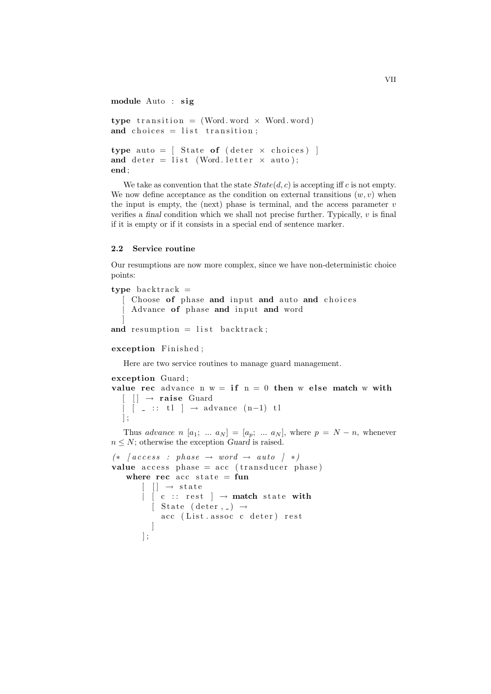module Auto : sig

```
type transition = (Word.word \times Word.word)
and choices = list transition;
type auto = [ State of (deter \times choices) ]
and deter = list (Word letter \times auto);
end;
```
We take as convention that the state  $State(d, c)$  is accepting iff c is not empty. We now define acceptance as the condition on external transitions  $(w, v)$  when the input is empty, the (next) phase is terminal, and the access parameter  $v$ verifies a final condition which we shall not precise further. Typically,  $v$  is final if it is empty or if it consists in a special end of sentence marker.

### 2.2 Service routine

Our resumptions are now more complex, since we have non-deterministic choice points:

```
type backtrack =Choose of phase and input and auto and choices
    Advance of phase and input and word
  ]
and resumption = list backtrack;
```
#### exception Finished;

Here are two service routines to manage guard management.

```
exception Guard;
value rec advance n w = if n = 0 then w else match w with
    \begin{bmatrix} \end{bmatrix} \rightarrow raise Guard
    \begin{bmatrix} \cdot & \cdot & \cdot & \cdot & t \end{bmatrix} \rightarrow advance (n-1) tl
    ] ;
```
Thus advance n [a<sub>1</sub>; ... a<sub>N</sub>] = [a<sub>p</sub>; ... a<sub>N</sub>], where  $p = N - n$ , whenever  $n \leq N$ ; otherwise the exception Guard is raised.

```
(* [ access : phase \rightarrow word \rightarrow auto (*)value access phase = acc (transfer phase)where rec acc state = fun
           \lceil \rceil \rightarrow state
           \begin{array}{|c|c|c|c|c|}\n\hline \begin{array}{ccc} \cdot & \cdot & \cdot & \text{rest} \end{array} & \rightarrow \text{ match state with} \end{array}[ State (deter, \rightarrow) \rightarrowacc (List. assoc c deter) rest
               ]
           ] ;
```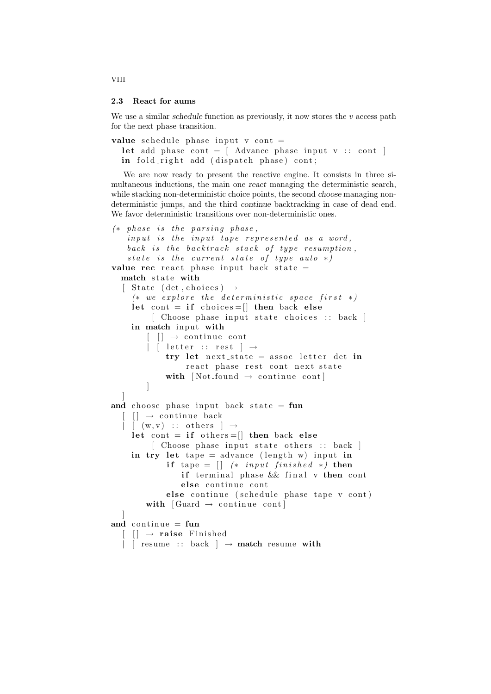#### 2.3 React for aums

We use a similar schedule function as previously, it now stores the  $v$  access path for the next phase transition.

```
value schedule phase input v cont =
  let add phase cont = \int Advance phase input v :: cont \vertin fold_right add (dispatch phase) cont;
```
We are now ready to present the reactive engine. It consists in three simultaneous inductions, the main one react managing the deterministic search, while stacking non-deterministic choice points, the second *choose* managing nondeterministic jumps, and the third continue backtracking in case of dead end. We favor deterministic transitions over non-deterministic ones.

```
(*\nwhile\n    phase\nis\ the\ parsing\ phase\,,input is the input tape represented as a word,
   back\ is\ the\ backtrack\ stack\ of\ type\ resumption\ ,state is the current state of type auto *)
value rec react phase input back state =match state with
  \left[ State (det, choices) \rightarrow(*\twe explore the deterministic space first *)let cont = if choices = \vert \vert then back else
          [ Choose phase input state choices :: back ]
     in match input with
        [ ] \rightarrow continue cont
        \vert \quad \vert letter :: rest \vert \rightarrowtry let next-state = assoc letter det in
                  react phase rest cont next_state
             with [Not_found \rightarrow continue cont]
         ]
   ]
and choose phase input back state = fun
    [ ] \rightarrow continue back
  | [ (w, v) :: others | \rightarrowlet cont = if others = \vert then back else
          [ Choose phase input state others :: back ]
     in try let tape = advance (length w) input in
             if tape = [ (* input finished *) then
                 if terminal phase && final v then cont
                 else continue cont
             else continue (schedule phase tape v cont)
        with \lceil Guard \rightarrow continue cont \lceil]
and continue = fun
  \lceil \quad \rceil \rightarrow raise Finished
  | [ resume :: back ] \rightarrow match resume with
```
VIII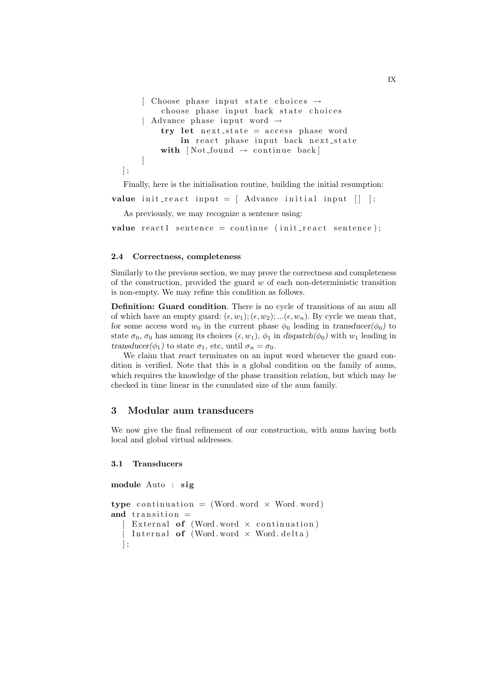```
[ Choose phase input state choices \rightarrowchoose phase input back state choices
      Advance phase input word \rightarrowtry let next-state = access phase word
             in react phase input back next_state
         with [Not_found \rightarrow continue back]
    ]
] ;
```
Finally, here is the initialisation routine, building the initial resumption:

value init\_react input  $=$  [ Advance initial input  $[$ ] ];

As previously, we may recognize a sentence using:

value react1 sentence = continue (init\_react sentence);

### 2.4 Correctness, completeness

Similarly to the previous section, we may prove the correctness and completeness of the construction, provided the guard  $w$  of each non-deterministic transition is non-empty. We may refine this condition as follows.

Definition: Guard condition. There is no cycle of transitions of an aum all of which have an empty guard:  $(\epsilon, w_1)$ ;  $(\epsilon, w_2)$ ; ... $(\epsilon, w_n)$ . By cycle we mean that, for some access word  $w_0$  in the current phase  $\phi_0$  leading in transducer( $\phi_0$ ) to state  $\sigma_0$ ,  $\sigma_0$  has among its choices  $(\epsilon, w_1)$ ,  $\phi_1$  in dispatch( $\phi_0$ ) with  $w_1$  leading in transducer( $\phi_1$ ) to state  $\sigma_1$ , etc, until  $\sigma_n = \sigma_0$ .

We claim that react terminates on an input word whenever the guard condition is verified. Note that this is a global condition on the family of aums, which requires the knowledge of the phase transition relation, but which may be checked in time linear in the cumulated size of the aum family.

## 3 Modular aum transducers

We now give the final refinement of our construction, with aums having both local and global virtual addresses.

### 3.1 Transducers

```
module Auto : sig
type continuation = (Word word \times Word word)
and transition =External of (Word word \times continuation)
    Internal of (Word. word \times Word. delta)] ;
```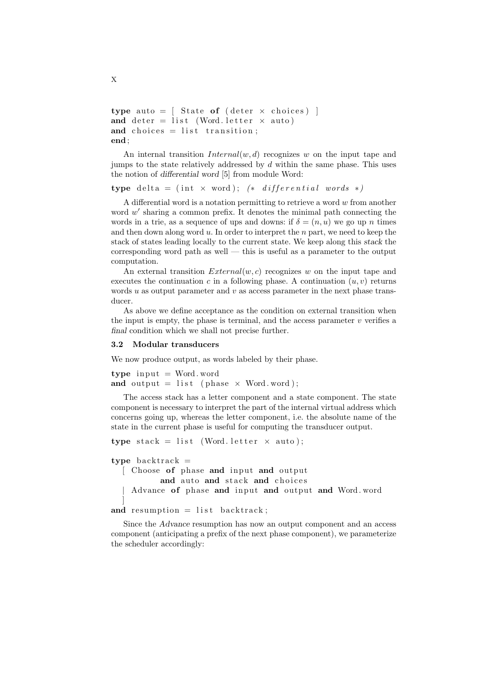```
type auto = [ State of (deter \times choices) ]
and deter = list (Word letter \times auto)
and choices = list transition;
end;
```
An internal transition  $Internal(w, d)$  recognizes w on the input tape and jumps to the state relatively addressed by  $d$  within the same phase. This uses the notion of differential word [5] from module Word:

```
type delta = (int \times word); (* differential words *)
```
A differential word is a notation permitting to retrieve a word  $w$  from another word  $w'$  sharing a common prefix. It denotes the minimal path connecting the words in a trie, as a sequence of ups and downs: if  $\delta = (n, u)$  we go up n times and then down along word  $u$ . In order to interpret the  $n$  part, we need to keep the stack of states leading locally to the current state. We keep along this stack the corresponding word path as well — this is useful as a parameter to the output computation.

An external transition  $External(w, c)$  recognizes w on the input tape and executes the continuation c in a following phase. A continuation  $(u, v)$  returns words  $u$  as output parameter and  $v$  as access parameter in the next phase transducer.

As above we define acceptance as the condition on external transition when the input is empty, the phase is terminal, and the access parameter  $v$  verifies a final condition which we shall not precise further.

#### 3.2 Modular transducers

We now produce output, as words labeled by their phase.

 $type$  input = Word. word and output = list (phase  $\times$  Word . word);

The access stack has a letter component and a state component. The state component is necessary to interpret the part of the internal virtual address which concerns going up, whereas the letter component, i.e. the absolute name of the state in the current phase is useful for computing the transducer output.

type stack = list (Word letter  $\times$  auto);

type backtrack  $=$ 

```
[ Choose of phase and input and output
        and auto and stack and choices
 Advance of phase and input and output and Word . word
]
```
and resumption  $=$  list backtrack;

Since the Advance resumption has now an output component and an access component (anticipating a prefix of the next phase component), we parameterize the scheduler accordingly:

X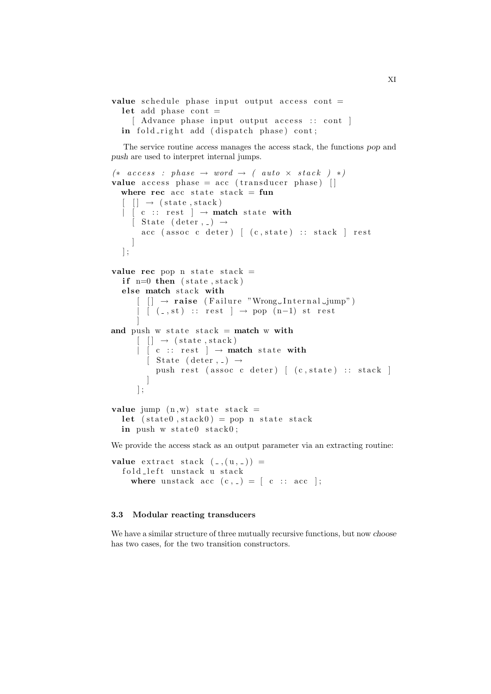```
value schedule phase input output access cont =let add phase cont =[ Advance phase input output access :: cont ]
 in fold_right add (dispatch phase) cont;
```
The service routine access manages the access stack, the functions pop and push are used to interpret internal jumps.

```
(* \; access : \; phase \; \rightarrow \; word \; \rightarrow \; ( \; auto \; \times \; stack \; ) \; *)value access phase = acc (transducer phase) [where rec acc state stack = fun
   [ ] \rightarrow (state, stack)
   | [ c :: rest ] \rightarrow match state with
     \left[ State (deter, \right]) \rightarrowacc (assoc c deter) ( c, state ) :: stack ] rest]
   ] ;
value rec pop n state stack =if n=0 then (state, stack)
   else match stack with
         [ ] \rightarrow raise (Failure "Wrong-Internal-jump")
         \left[ \begin{array}{ll} (-, st) \ :: \ \text{rest} \end{array} \right] \rightarrow \text{pop} \ \left( n-1 \right) \ \text{st} \ \text{rest}]
and push w state stack = match \t{ with}[ [ ] → ( s t a t e , s t a c k )
       | [ c :: rest ] \rightarrow match state with
         \left[\right] State (deter, ) \rightarrowpush rest (assoc c deter) [ (c, state) :: stack ]
          ]
       ] ;
value jump (n,w) state stack =
   let (\text{state0}, \text{stack0}) = \text{pop} n state stack
   in push w state0 stack0;
We provide the access stack as an output parameter via an extracting routine:
```

```
value extract stack (.,(u,.)) =
  fold_left unstack u stack
   where unstack acc (c, ) = [c : acc ];
```
## 3.3 Modular reacting transducers

We have a similar structure of three mutually recursive functions, but now choose has two cases, for the two transition constructors.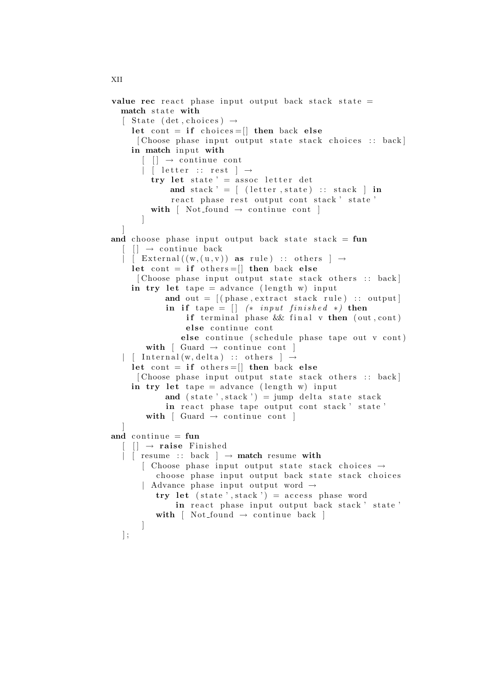```
value rec react phase input output back stack state =match state with
  [ State (det, choices) \rightarrowlet cont = if choices = \vert \vert then back else
      [Choose phase input output state stack choices :: back]
     in match input with
        \begin{bmatrix} \end{bmatrix} \rightarrow continue cont
       \vert \text{ letter} :: \text{rest} \vert \rightarrowtry let state ' = assoc letter det
              and stack ' = \int (letter, state) :: stack \int in
              react phase rest output cont stack' state'
          with \lceil Not_found \rightarrow continue cont ]
        ]
  ]
and choose phase input output back state stack = fun[ \rightarrow continue back
    \left[ External ((w, (u, v)) as rule) :: others ] \rightarrowlet cont = if others = [] then back else
      [ Choose phase input output state stack others :: back]
     in try let tape = advance (length w) input
             and out = [(phase, extract stack rule) :: output]
             in if tape = [] (* input finished *) then
                  if terminal phase &\& final v then (out, cont)
                  else continue cont
                 else continue (schedule phase tape out v cont)
        with \left[ Guard \rightarrow continue cont \left[\vert [ Internal (w, delta) :: others \vert \rightarrowlet cont = if others = \vert then back else
      [ Choose phase input output state stack others :: back]
     in try let tape = advance (length w) input
             and (\text{state}', \text{stack}') = \text{jump delta state stack}in react phase tape output cont stack' state'
        with \left[ Guard \rightarrow continue cont \left[]
and continue = fun
  \lceil \; \rceil \rightarrow raise Finished
  | [ resume :: back ] \rightarrow match resume with
       [ Choose phase input output state stack choices \rightarrowchoose phase input output back state stack choices
       | Advance phase input output word \rightarrowtry let (\text{state}', \text{stack}') = \text{access phase word}in react phase input output back stack' state'
           with \lceil Not found \rightarrow continue back \lceil]
  \vert;
```
XII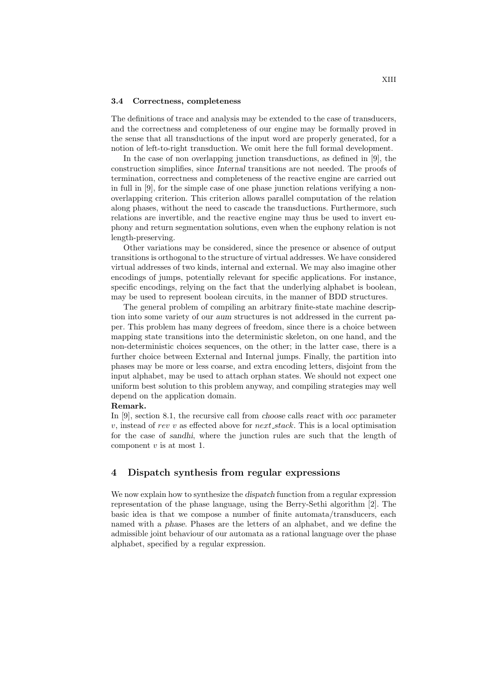#### 3.4 Correctness, completeness

The definitions of trace and analysis may be extended to the case of transducers, and the correctness and completeness of our engine may be formally proved in the sense that all transductions of the input word are properly generated, for a notion of left-to-right transduction. We omit here the full formal development.

In the case of non overlapping junction transductions, as defined in [9], the construction simplifies, since Internal transitions are not needed. The proofs of termination, correctness and completeness of the reactive engine are carried out in full in [9], for the simple case of one phase junction relations verifying a nonoverlapping criterion. This criterion allows parallel computation of the relation along phases, without the need to cascade the transductions. Furthermore, such relations are invertible, and the reactive engine may thus be used to invert euphony and return segmentation solutions, even when the euphony relation is not length-preserving.

Other variations may be considered, since the presence or absence of output transitions is orthogonal to the structure of virtual addresses. We have considered virtual addresses of two kinds, internal and external. We may also imagine other encodings of jumps, potentially relevant for specific applications. For instance, specific encodings, relying on the fact that the underlying alphabet is boolean, may be used to represent boolean circuits, in the manner of BDD structures.

The general problem of compiling an arbitrary finite-state machine description into some variety of our aum structures is not addressed in the current paper. This problem has many degrees of freedom, since there is a choice between mapping state transitions into the deterministic skeleton, on one hand, and the non-deterministic choices sequences, on the other; in the latter case, there is a further choice between External and Internal jumps. Finally, the partition into phases may be more or less coarse, and extra encoding letters, disjoint from the input alphabet, may be used to attach orphan states. We should not expect one uniform best solution to this problem anyway, and compiling strategies may well depend on the application domain.

### Remark.

In [9], section 8.1, the recursive call from choose calls react with occ parameter v, instead of rev v as effected above for next stack. This is a local optimisation for the case of sandhi, where the junction rules are such that the length of component  $v$  is at most 1.

## 4 Dispatch synthesis from regular expressions

We now explain how to synthesize the *dispatch* function from a regular expression representation of the phase language, using the Berry-Sethi algorithm [2]. The basic idea is that we compose a number of finite automata/transducers, each named with a phase. Phases are the letters of an alphabet, and we define the admissible joint behaviour of our automata as a rational language over the phase alphabet, specified by a regular expression.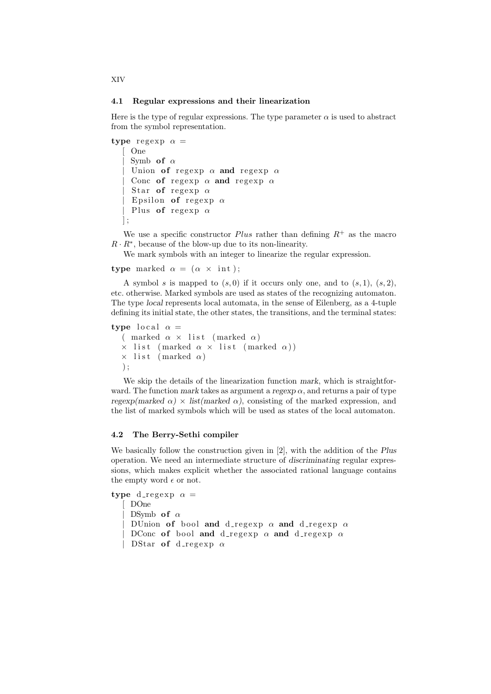#### 4.1 Regular expressions and their linearization

Here is the type of regular expressions. The type parameter  $\alpha$  is used to abstract from the symbol representation.

```
type regexp \alpha =[ One
     Symb of \alphaUnion of regexp \alpha and regexp \alphaConc of regexp \alpha and regexp \alphaStar of regexp \alphaE psilon of regexp \alphaPlus of regexp \alpha] ;
```
We use a specific constructor  $Plus$  rather than defining  $R^+$  as the macro  $R \cdot R^*$ , because of the blow-up due to its non-linearity.

We mark symbols with an integer to linearize the regular expression.

type marked  $\alpha = (\alpha \times \text{int})$ ;

A symbol s is mapped to  $(s, 0)$  if it occurs only one, and to  $(s, 1)$ ,  $(s, 2)$ , etc. otherwise. Marked symbols are used as states of the recognizing automaton. The type local represents local automata, in the sense of Eilenberg, as a 4-tuple defining its initial state, the other states, the transitions, and the terminal states:

```
type local \alpha =( marked \alpha \times list (marked \alpha)
   \times list (marked \alpha \times list (marked \alpha))
  \times list (marked \alpha)
   ) ;
```
We skip the details of the linearization function mark, which is straightforward. The function mark takes as argument a regexp  $\alpha$ , and returns a pair of type regexp(marked  $\alpha$ ) × list(marked  $\alpha$ ), consisting of the marked expression, and the list of marked symbols which will be used as states of the local automaton.

#### 4.2 The Berry-Sethi compiler

We basically follow the construction given in [2], with the addition of the Plus operation. We need an intermediate structure of discriminating regular expressions, which makes explicit whether the associated rational language contains the empty word  $\epsilon$  or not.

```
type d_regexp \alpha =[ DOne
    DSymb of \alphaDUnion of bool and d regexp \alpha and d regexp \alphaDConc of bool and d regexp \alpha and d regexp \alphaDStar of d_regexp \alpha
```
## XIV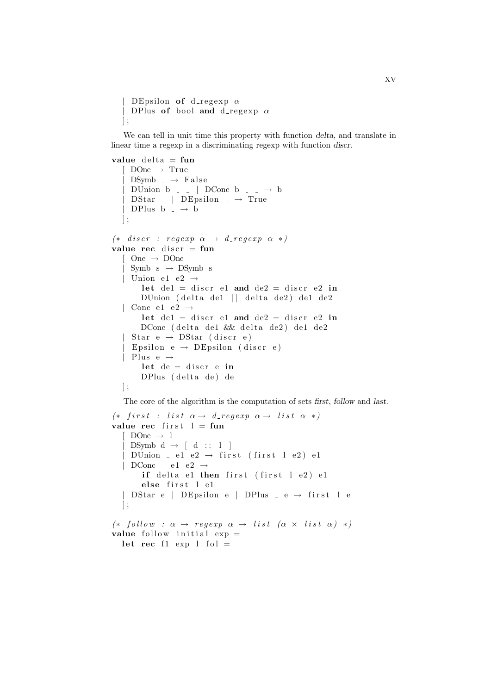```
| DEpsilon of d_regexp \alpha| DPlus of bool and d_regexp \alpha] ;
```
We can tell in unit time this property with function delta, and translate in linear time a regexp in a discriminating regexp with function discr.

```
value delta = fun
   [ DOne \rightarrow True
    DSymb \rightarrow FalseDUnion b \Box | DConc b \Box \rightarrow b
    DStar | DEpsilon \rightarrow True
   | DPlus b \rightarrow b
  \vert;
(* discr : regexp \alpha \rightarrow d_{\text{regerp}} \alpha *value rec discr = fun
   One \rightarrow DOneSymb s \rightarrow DSymb s| Union e1 e2 \rightarrowlet de1 = discr e1 and de2 = discr e2 in
       DUnion ( delta de1 || delta de2 ) de1 de2
  | Conc e1 e2 \rightarrowlet de1 = discr e1 and de2 = discr e2 in
       DConc ( delta de1 & delta de2 ) de1 de2
  | Star e \rightarrow DStar (discr e)
    Epsilon e \rightarrow DEpsilon (discr e)
  | Plus e →
       let de = discr e in
       DPlus (delta de) de
  ] ;
```
The core of the algorithm is the computation of sets first, follow and last.

```
(* first : list \alpha \rightarrow d_{\text{regerp}} \alpha \rightarrow list \alpha *)
value rec first l = funDOne \rightarrow 1DSymb d \rightarrow [ d :: l ]DUnion = e1 e2 \rightarrow first (first l e2) e1
   | DConc _e e1 e2 \rightarrowif delta e1 then first (first l e2) e1
        else first l e1
   | DStar e | DEpsilon e | DPlus -e \rightarrow first l e
   \vert;
(* follow : \alpha \rightarrow \text{regexp }\alpha \rightarrow \text{list } (\alpha \times \text{list } \alpha) \rightarrow)value follow initial exp =let rec f1 \exp 1 fol =
```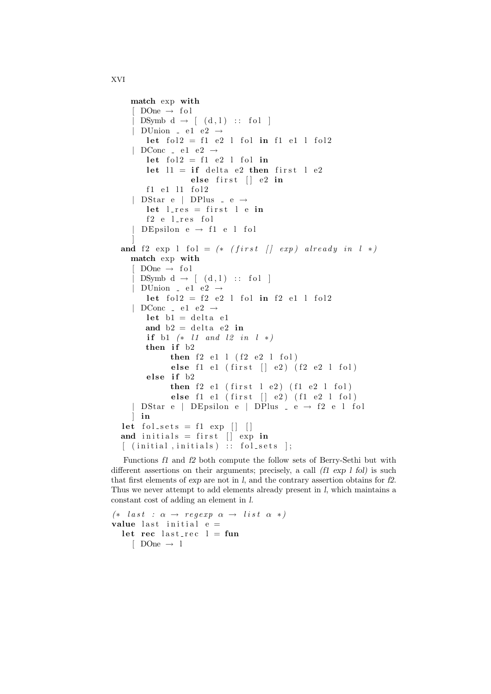```
match exp with
    DOne \rightarrow folDSymb d \rightarrow [ (d, 1) :: fol ]DUnion -e1 e2 \rightarrowlet fol2 = fl e2 l fol in f1 e1 l fol2
  | DConc _e e1 e2 \rightarrowlet fol2 = f1 e2 1 folinlet 11 = if delta e2 then first 1 e2else first [] e2 in
     f1 e1 l1 fol2
  | DStar e | DPlus = e \rightarrowlet l<sub>-res</sub> = first l e in
     f2 e l_res fol
    DEpsilon e \rightarrow f1 e 1 f01]
and f2 exp l fol = (* (first [] exp) already in l *)match exp with
    DOne \rightarrow folDSymb d \rightarrow [d, 1) :: folDUnion -e1 e2 \rightarrowlet fol2 = f2 e2 1 folin f2 e1 1 fol2| DConc _e e1 e2 \rightarrowlet bl = delta e1and b2 = delta e2 in
     if b1 (* l1 and l2 in l *)
     then if b2
           then f2 e1 l (f2 e2 l f01)else f1 e1 (first | e2) (f2 e2 1 fol)
     else if b2
           then f2 e1 (first l e2) (f1 e2 l fol)
           else f1 e1 (first [ ] e2) (f1 e2 1 fo1)
  | DStar e | DEpsilon e | DPlus -e \rightarrow f2 e l fol
  ] in
let fol_sets = f1 exp [] []
and initials = first [] exp in
\lceil (initial, initials) :: fol_sets \rceil;
```
Functions f1 and f2 both compute the follow sets of Berry-Sethi but with different assertions on their arguments; precisely, a call (f1 exp l fol) is such that first elements of exp are not in l, and the contrary assertion obtains for f2. Thus we never attempt to add elements already present in l, which maintains a constant cost of adding an element in l.

 $(*\ \textit{last} \ : \ \alpha \ \rightarrow \ \textit{regexp} \ \alpha \ \rightarrow \ \textit{list} \ \alpha \ *)$ value last initial  $e =$ let rec last\_rec  $l = fun$  $[$  DOne  $\rightarrow$  1

XVI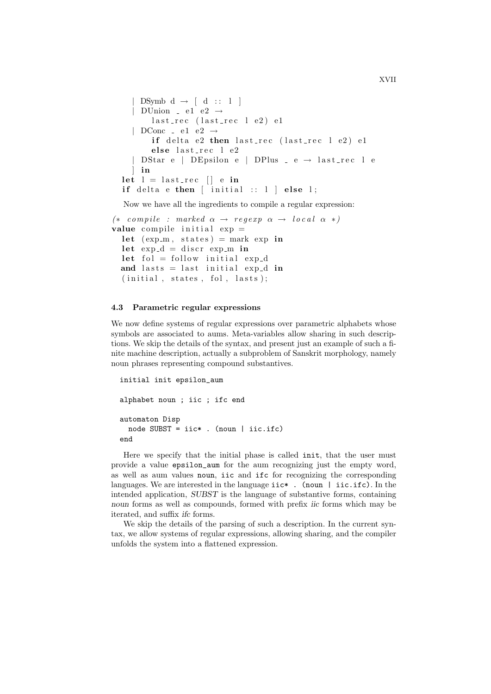```
DSymb d \rightarrow [ d :: l ]DUnion _e e1 e2 \rightarrowlast\_rec (last\_rec l e2) e1| DConc _e e1 e2 \rightarrowif delta e2 then last_rec (last\_rec l e2) e1
       else last_rec l e2
  | DStar e | DEpsilon e | DPlus -e \rightarrow last_rec l e
  ] in
let \, l = last\_rec \, l \, e \, inif delta e then \lceil initial :: l \rceil else l;
```
Now we have all the ingredients to compile a regular expression:

```
(* compile : marked \alpha \rightarrow \text{regexp } \alpha \rightarrow \text{local } \alpha *)
value compile initial exp =let (exp_m, state s) = mark exp inlet exp_d = discr exp_m in
  let fol = follow initial exp_dand lasts = last initial exp_d in
  (intial, states, fol, lasts);
```
#### 4.3 Parametric regular expressions

We now define systems of regular expressions over parametric alphabets whose symbols are associated to aums. Meta-variables allow sharing in such descriptions. We skip the details of the syntax, and present just an example of such a finite machine description, actually a subproblem of Sanskrit morphology, namely noun phrases representing compound substantives.

```
initial init epsilon_aum
alphabet noun ; iic ; ifc end
automaton Disp
 node SUBST = iic*. (noun | iic.ifc)end
```
Here we specify that the initial phase is called init, that the user must provide a value epsilon\_aum for the aum recognizing just the empty word, as well as aum values noun, iic and ifc for recognizing the corresponding languages. We are interested in the language iic\* . (noun | iic.ifc). In the intended application, SUBST is the language of substantive forms, containing noun forms as well as compounds, formed with prefix iic forms which may be iterated, and suffix ifc forms.

We skip the details of the parsing of such a description. In the current syntax, we allow systems of regular expressions, allowing sharing, and the compiler unfolds the system into a flattened expression.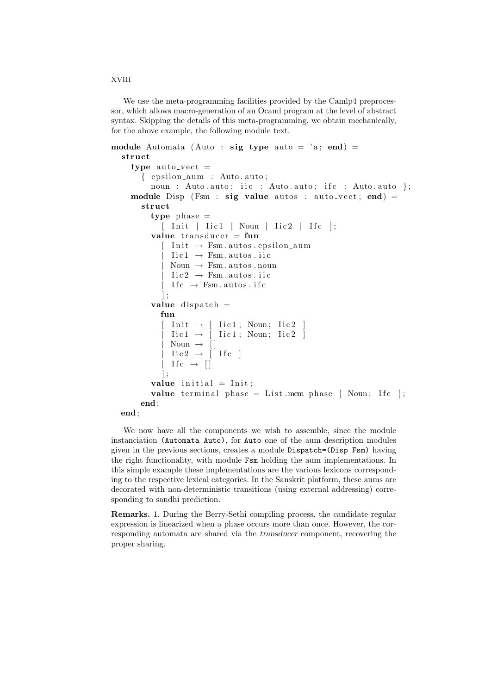## XVIII

We use the meta-programming facilities provided by the Camlp4 preprocessor, which allows macro-generation of an Ocaml program at the level of abstract syntax. Skipping the details of this meta-programming, we obtain mechanically, for the above example, the following module text.

```
module Automata (Auto : sig type auto = 'a; end) =
   struct
      type auto\_vect ={ epsilon_aum : Auto. auto;
            noun : Auto . auto; iic : Auto . auto; if c : Auto . auto };
      module Disp (Fsm : sig value autos : auto_vect; end) =
         struct
            type phase =
                  Init \mid Lie1 \mid Noun \mid Lie2 \mid Ifc \mid;value transducer = funInit \rightarrow Fsm. autos. epsilon_aum
                  Iic 1 \rightarrow Fsm. autos. iic
                  \text{Noun} \rightarrow \text{Fsm}.\text{autos}.\text{noun}I i c 2 \rightarrow Fsm. autos. ii c
                  If c \rightarrow Fsm. autos. if c
               ] ;
            value dispatch =fun
                  Init \rightarrow [ \text{Iic1}; \text{Noun}; \text{Iic2}\text{Iic1} \rightarrow \begin{bmatrix} \text{Iic1}; \text{Noun}; \text{Iic2} \end{bmatrix}Noun \rightarrow []
                 \text{Iic2} \rightarrow \begin{bmatrix} \text{Ifc} \end{bmatrix}| If c \rightarrow ||
               ] ;
            value initial = Init;
            value terminal phase = List mem phase \lceil Noun; Ifc \rceil;
         end;
   end;
```
We now have all the components we wish to assemble, since the module instanciation (Automata Auto), for Auto one of the aum description modules given in the previous sections, creates a module Dispatch=(Disp Fsm) having the right functionality, with module Fsm holding the aum implementations. In this simple example these implementations are the various lexicons corresponding to the respective lexical categories. In the Sanskrit platform, these aums are decorated with non-deterministic transitions (using external addressing) corresponding to sandhi prediction.

Remarks. 1. During the Berry-Sethi compiling process, the candidate regular expression is linearized when a phase occurs more than once. However, the corresponding automata are shared via the transducer component, recovering the proper sharing.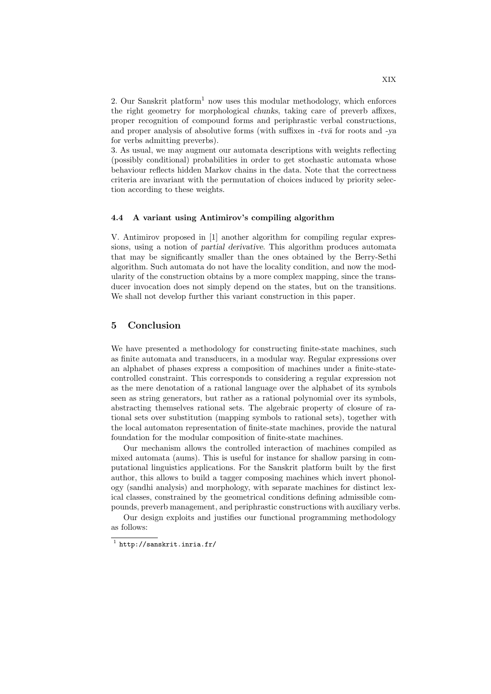2. Our Sanskrit platform<sup>1</sup> now uses this modular methodology, which enforces the right geometry for morphological chunks, taking care of preverb affixes, proper recognition of compound forms and periphrastic verbal constructions, and proper analysis of absolutive forms (with suffixes in  $-tv\bar{a}$  for roots and -ya for verbs admitting preverbs).

3. As usual, we may augment our automata descriptions with weights reflecting (possibly conditional) probabilities in order to get stochastic automata whose behaviour reflects hidden Markov chains in the data. Note that the correctness criteria are invariant with the permutation of choices induced by priority selection according to these weights.

#### 4.4 A variant using Antimirov's compiling algorithm

V. Antimirov proposed in [1] another algorithm for compiling regular expressions, using a notion of partial derivative. This algorithm produces automata that may be significantly smaller than the ones obtained by the Berry-Sethi algorithm. Such automata do not have the locality condition, and now the modularity of the construction obtains by a more complex mapping, since the transducer invocation does not simply depend on the states, but on the transitions. We shall not develop further this variant construction in this paper.

## 5 Conclusion

We have presented a methodology for constructing finite-state machines, such as finite automata and transducers, in a modular way. Regular expressions over an alphabet of phases express a composition of machines under a finite-statecontrolled constraint. This corresponds to considering a regular expression not as the mere denotation of a rational language over the alphabet of its symbols seen as string generators, but rather as a rational polynomial over its symbols, abstracting themselves rational sets. The algebraic property of closure of rational sets over substitution (mapping symbols to rational sets), together with the local automaton representation of finite-state machines, provide the natural foundation for the modular composition of finite-state machines.

Our mechanism allows the controlled interaction of machines compiled as mixed automata (aums). This is useful for instance for shallow parsing in computational linguistics applications. For the Sanskrit platform built by the first author, this allows to build a tagger composing machines which invert phonology (sandhi analysis) and morphology, with separate machines for distinct lexical classes, constrained by the geometrical conditions defining admissible compounds, preverb management, and periphrastic constructions with auxiliary verbs.

Our design exploits and justifies our functional programming methodology as follows:

 $^1$  http://sanskrit.inria.fr/